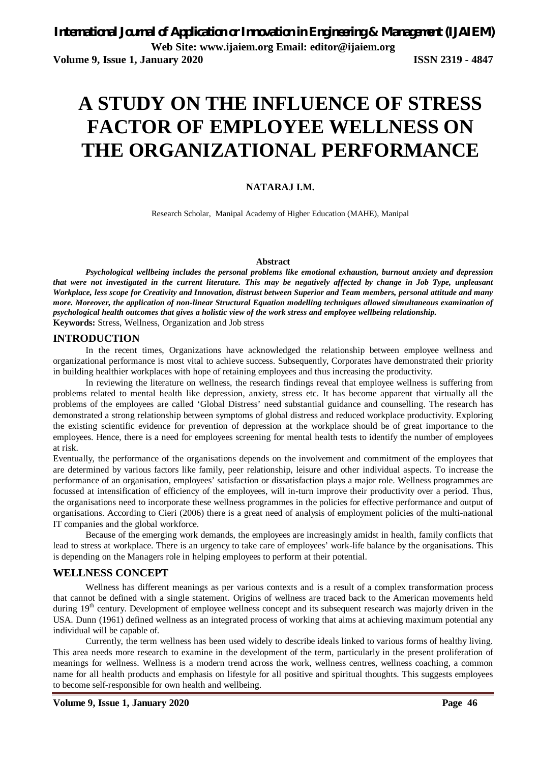# **A STUDY ON THE INFLUENCE OF STRESS FACTOR OF EMPLOYEE WELLNESS ON THE ORGANIZATIONAL PERFORMANCE**

#### **NATARAJ I.M.**

Research Scholar, Manipal Academy of Higher Education (MAHE), Manipal

#### **Abstract**

*Psychological wellbeing includes the personal problems like emotional exhaustion, burnout anxiety and depression that were not investigated in the current literature. This may be negatively affected by change in Job Type, unpleasant Workplace, less scope for Creativity and Innovation, distrust between Superior and Team members, personal attitude and many more. Moreover, the application of non-linear Structural Equation modelling techniques allowed simultaneous examination of psychological health outcomes that gives a holistic view of the work stress and employee wellbeing relationship.*  **Keywords:** Stress, Wellness, Organization and Job stress

#### **INTRODUCTION**

In the recent times, Organizations have acknowledged the relationship between employee wellness and organizational performance is most vital to achieve success. Subsequently, Corporates have demonstrated their priority in building healthier workplaces with hope of retaining employees and thus increasing the productivity.

In reviewing the literature on wellness, the research findings reveal that employee wellness is suffering from problems related to mental health like depression, anxiety, stress etc. It has become apparent that virtually all the problems of the employees are called 'Global Distress' need substantial guidance and counselling. The research has demonstrated a strong relationship between symptoms of global distress and reduced workplace productivity. Exploring the existing scientific evidence for prevention of depression at the workplace should be of great importance to the employees. Hence, there is a need for employees screening for mental health tests to identify the number of employees at risk.

Eventually, the performance of the organisations depends on the involvement and commitment of the employees that are determined by various factors like family, peer relationship, leisure and other individual aspects. To increase the performance of an organisation, employees' satisfaction or dissatisfaction plays a major role. Wellness programmes are focussed at intensification of efficiency of the employees, will in-turn improve their productivity over a period. Thus, the organisations need to incorporate these wellness programmes in the policies for effective performance and output of organisations. According to Cieri (2006) there is a great need of analysis of employment policies of the multi-national IT companies and the global workforce.

Because of the emerging work demands, the employees are increasingly amidst in health, family conflicts that lead to stress at workplace. There is an urgency to take care of employees' work-life balance by the organisations. This is depending on the Managers role in helping employees to perform at their potential.

#### **WELLNESS CONCEPT**

Wellness has different meanings as per various contexts and is a result of a complex transformation process that cannot be defined with a single statement. Origins of wellness are traced back to the American movements held during 19<sup>th</sup> century. Development of employee wellness concept and its subsequent research was majorly driven in the USA. Dunn (1961) defined wellness as an integrated process of working that aims at achieving maximum potential any individual will be capable of.

Currently, the term wellness has been used widely to describe ideals linked to various forms of healthy living. This area needs more research to examine in the development of the term, particularly in the present proliferation of meanings for wellness. Wellness is a modern trend across the work, wellness centres, wellness coaching, a common name for all health products and emphasis on lifestyle for all positive and spiritual thoughts. This suggests employees to become self-responsible for own health and wellbeing.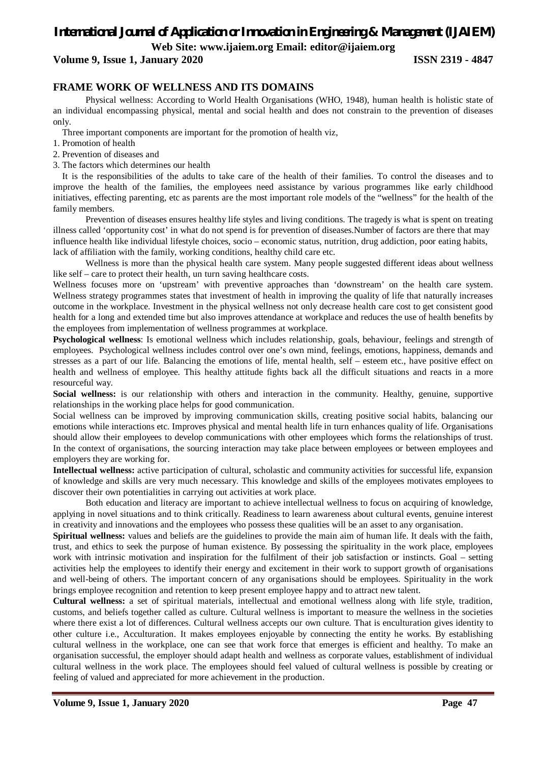**Web Site: [www.ijaiem.org](http://www.ijaiem.org) Email: [editor@ijaiem.org](mailto:editor@ijaiem.org)**

**Volume 9, Issue 1, January 2020 ISSN 2319 - 4847**

#### **FRAME WORK OF WELLNESS AND ITS DOMAINS**

Physical wellness: According to World Health Organisations (WHO, 1948), human health is holistic state of an individual encompassing physical, mental and social health and does not constrain to the prevention of diseases only.

Three important components are important for the promotion of health viz,

- 1. Promotion of health
- 2. Prevention of diseases and
- 3. The factors which determines our health

It is the responsibilities of the adults to take care of the health of their families. To control the diseases and to improve the health of the families, the employees need assistance by various programmes like early childhood initiatives, effecting parenting, etc as parents are the most important role models of the "wellness" for the health of the family members.

Prevention of diseases ensures healthy life styles and living conditions. The tragedy is what is spent on treating illness called 'opportunity cost' in what do not spend is for prevention of diseases.Number of factors are there that may influence health like individual lifestyle choices, socio – economic status, nutrition, drug addiction, poor eating habits, lack of affiliation with the family, working conditions, healthy child care etc.

Wellness is more than the physical health care system. Many people suggested different ideas about wellness like self – care to protect their health, un turn saving healthcare costs.

Wellness focuses more on 'upstream' with preventive approaches than 'downstream' on the health care system. Wellness strategy programmes states that investment of health in improving the quality of life that naturally increases outcome in the workplace. Investment in the physical wellness not only decrease health care cost to get consistent good health for a long and extended time but also improves attendance at workplace and reduces the use of health benefits by the employees from implementation of wellness programmes at workplace.

**Psychological wellness**: Is emotional wellness which includes relationship, goals, behaviour, feelings and strength of employees. Psychological wellness includes control over one's own mind, feelings, emotions, happiness, demands and stresses as a part of our life. Balancing the emotions of life, mental health, self – esteem etc., have positive effect on health and wellness of employee. This healthy attitude fights back all the difficult situations and reacts in a more resourceful way.

**Social wellness:** is our relationship with others and interaction in the community. Healthy, genuine, supportive relationships in the working place helps for good communication.

Social wellness can be improved by improving communication skills, creating positive social habits, balancing our emotions while interactions etc. Improves physical and mental health life in turn enhances quality of life. Organisations should allow their employees to develop communications with other employees which forms the relationships of trust. In the context of organisations, the sourcing interaction may take place between employees or between employees and employers they are working for.

**Intellectual wellness:** active participation of cultural, scholastic and community activities for successful life, expansion of knowledge and skills are very much necessary. This knowledge and skills of the employees motivates employees to discover their own potentialities in carrying out activities at work place.

Both education and literacy are important to achieve intellectual wellness to focus on acquiring of knowledge, applying in novel situations and to think critically. Readiness to learn awareness about cultural events, genuine interest in creativity and innovations and the employees who possess these qualities will be an asset to any organisation.

**Spiritual wellness:** values and beliefs are the guidelines to provide the main aim of human life. It deals with the faith, trust, and ethics to seek the purpose of human existence. By possessing the spirituality in the work place, employees work with intrinsic motivation and inspiration for the fulfilment of their job satisfaction or instincts. Goal – setting activities help the employees to identify their energy and excitement in their work to support growth of organisations and well-being of others. The important concern of any organisations should be employees. Spirituality in the work brings employee recognition and retention to keep present employee happy and to attract new talent.

**Cultural wellness:** a set of spiritual materials, intellectual and emotional wellness along with life style, tradition, customs, and beliefs together called as culture. Cultural wellness is important to measure the wellness in the societies where there exist a lot of differences. Cultural wellness accepts our own culture. That is enculturation gives identity to other culture i.e., Acculturation. It makes employees enjoyable by connecting the entity he works. By establishing cultural wellness in the workplace, one can see that work force that emerges is efficient and healthy. To make an organisation successful, the employer should adapt health and wellness as corporate values, establishment of individual cultural wellness in the work place. The employees should feel valued of cultural wellness is possible by creating or feeling of valued and appreciated for more achievement in the production.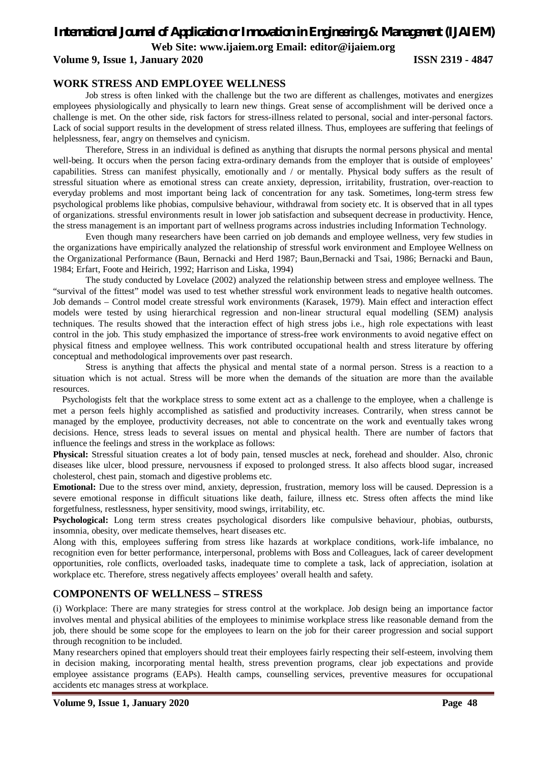**Web Site: [www.ijaiem.org](http://www.ijaiem.org) Email: [editor@ijaiem.org](mailto:editor@ijaiem.org)**

#### **Volume 9, Issue 1, January 2020 ISSN 2319 - 4847**

#### **WORK STRESS AND EMPLOYEE WELLNESS**

Job stress is often linked with the challenge but the two are different as challenges, motivates and energizes employees physiologically and physically to learn new things. Great sense of accomplishment will be derived once a challenge is met. On the other side, risk factors for stress-illness related to personal, social and inter-personal factors. Lack of social support results in the development of stress related illness. Thus, employees are suffering that feelings of helplessness, fear, angry on themselves and cynicism.

Therefore, Stress in an individual is defined as anything that disrupts the normal persons physical and mental well-being. It occurs when the person facing extra-ordinary demands from the employer that is outside of employees' capabilities. Stress can manifest physically, emotionally and / or mentally. Physical body suffers as the result of stressful situation where as emotional stress can create anxiety, depression, irritability, frustration, over-reaction to everyday problems and most important being lack of concentration for any task. Sometimes, long-term stress few psychological problems like phobias, compulsive behaviour, withdrawal from society etc. It is observed that in all types of organizations. stressful environments result in lower job satisfaction and subsequent decrease in productivity. Hence, the stress management is an important part of wellness programs across industries including Information Technology.

Even though many researchers have been carried on job demands and employee wellness, very few studies in the organizations have empirically analyzed the relationship of stressful work environment and Employee Wellness on the Organizational Performance (Baun, Bernacki and Herd 1987; Baun,Bernacki and Tsai, 1986; Bernacki and Baun, 1984; Erfart, Foote and Heirich, 1992; Harrison and Liska, 1994)

The study conducted by Lovelace (2002) analyzed the relationship between stress and employee wellness. The "survival of the fittest" model was used to test whether stressful work environment leads to negative health outcomes. Job demands – Control model create stressful work environments (Karasek, 1979). Main effect and interaction effect models were tested by using hierarchical regression and non-linear structural equal modelling (SEM) analysis techniques. The results showed that the interaction effect of high stress jobs i.e., high role expectations with least control in the job. This study emphasized the importance of stress-free work environments to avoid negative effect on physical fitness and employee wellness. This work contributed occupational health and stress literature by offering conceptual and methodological improvements over past research.

Stress is anything that affects the physical and mental state of a normal person. Stress is a reaction to a situation which is not actual. Stress will be more when the demands of the situation are more than the available resources.

Psychologists felt that the workplace stress to some extent act as a challenge to the employee, when a challenge is met a person feels highly accomplished as satisfied and productivity increases. Contrarily, when stress cannot be managed by the employee, productivity decreases, not able to concentrate on the work and eventually takes wrong decisions. Hence, stress leads to several issues on mental and physical health. There are number of factors that influence the feelings and stress in the workplace as follows:

**Physical:** Stressful situation creates a lot of body pain, tensed muscles at neck, forehead and shoulder. Also, chronic diseases like ulcer, blood pressure, nervousness if exposed to prolonged stress. It also affects blood sugar, increased cholesterol, chest pain, stomach and digestive problems etc.

**Emotional:** Due to the stress over mind, anxiety, depression, frustration, memory loss will be caused. Depression is a severe emotional response in difficult situations like death, failure, illness etc. Stress often affects the mind like forgetfulness, restlessness, hyper sensitivity, mood swings, irritability, etc.

**Psychological:** Long term stress creates psychological disorders like compulsive behaviour, phobias, outbursts, insomnia, obesity, over medicate themselves, heart diseases etc.

Along with this, employees suffering from stress like hazards at workplace conditions, work-life imbalance, no recognition even for better performance, interpersonal, problems with Boss and Colleagues, lack of career development opportunities, role conflicts, overloaded tasks, inadequate time to complete a task, lack of appreciation, isolation at workplace etc. Therefore, stress negatively affects employees' overall health and safety.

#### **COMPONENTS OF WELLNESS – STRESS**

(i) Workplace: There are many strategies for stress control at the workplace. Job design being an importance factor involves mental and physical abilities of the employees to minimise workplace stress like reasonable demand from the job, there should be some scope for the employees to learn on the job for their career progression and social support through recognition to be included.

Many researchers opined that employers should treat their employees fairly respecting their self-esteem, involving them in decision making, incorporating mental health, stress prevention programs, clear job expectations and provide employee assistance programs (EAPs). Health camps, counselling services, preventive measures for occupational accidents etc manages stress at workplace.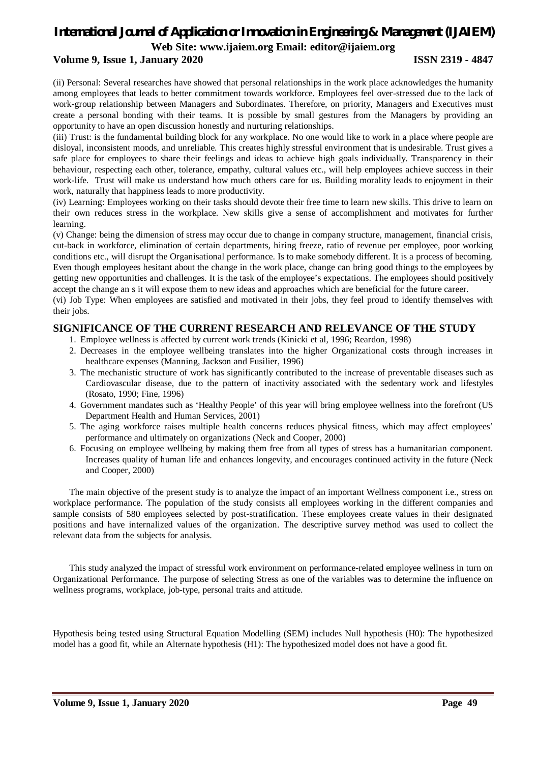**Web Site: [www.ijaiem.org](http://www.ijaiem.org) Email: [editor@ijaiem.org](mailto:editor@ijaiem.org)**

#### **Volume 9, Issue 1, January 2020 ISSN 2319 - 4847**

(ii) Personal: Several researches have showed that personal relationships in the work place acknowledges the humanity among employees that leads to better commitment towards workforce. Employees feel over-stressed due to the lack of work-group relationship between Managers and Subordinates. Therefore, on priority, Managers and Executives must create a personal bonding with their teams. It is possible by small gestures from the Managers by providing an opportunity to have an open discussion honestly and nurturing relationships.

(iii) Trust: is the fundamental building block for any workplace. No one would like to work in a place where people are disloyal, inconsistent moods, and unreliable. This creates highly stressful environment that is undesirable. Trust gives a safe place for employees to share their feelings and ideas to achieve high goals individually. Transparency in their behaviour, respecting each other, tolerance, empathy, cultural values etc., will help employees achieve success in their work-life. Trust will make us understand how much others care for us. Building morality leads to enjoyment in their work, naturally that happiness leads to more productivity.

(iv) Learning: Employees working on their tasks should devote their free time to learn new skills. This drive to learn on their own reduces stress in the workplace. New skills give a sense of accomplishment and motivates for further learning.

(v) Change: being the dimension of stress may occur due to change in company structure, management, financial crisis, cut-back in workforce, elimination of certain departments, hiring freeze, ratio of revenue per employee, poor working conditions etc., will disrupt the Organisational performance. Is to make somebody different. It is a process of becoming. Even though employees hesitant about the change in the work place, change can bring good things to the employees by getting new opportunities and challenges. It is the task of the employee's expectations. The employees should positively accept the change an s it will expose them to new ideas and approaches which are beneficial for the future career.

(vi) Job Type: When employees are satisfied and motivated in their jobs, they feel proud to identify themselves with their jobs.

#### **SIGNIFICANCE OF THE CURRENT RESEARCH AND RELEVANCE OF THE STUDY**

- 1. Employee wellness is affected by current work trends (Kinicki et al, 1996; Reardon, 1998)
- 2. Decreases in the employee wellbeing translates into the higher Organizational costs through increases in healthcare expenses (Manning, Jackson and Fusilier, 1996)
- 3. The mechanistic structure of work has significantly contributed to the increase of preventable diseases such as Cardiovascular disease, due to the pattern of inactivity associated with the sedentary work and lifestyles (Rosato, 1990; Fine, 1996)
- 4. Government mandates such as 'Healthy People' of this year will bring employee wellness into the forefront (US Department Health and Human Services, 2001)
- 5. The aging workforce raises multiple health concerns reduces physical fitness, which may affect employees' performance and ultimately on organizations (Neck and Cooper, 2000)
- 6. Focusing on employee wellbeing by making them free from all types of stress has a humanitarian component. Increases quality of human life and enhances longevity, and encourages continued activity in the future (Neck and Cooper, 2000)

The main objective of the present study is to analyze the impact of an important Wellness component i.e., stress on workplace performance. The population of the study consists all employees working in the different companies and sample consists of 580 employees selected by post-stratification. These employees create values in their designated positions and have internalized values of the organization. The descriptive survey method was used to collect the relevant data from the subjects for analysis.

This study analyzed the impact of stressful work environment on performance-related employee wellness in turn on Organizational Performance. The purpose of selecting Stress as one of the variables was to determine the influence on wellness programs, workplace, job-type, personal traits and attitude.

Hypothesis being tested using Structural Equation Modelling (SEM) includes Null hypothesis (H0): The hypothesized model has a good fit, while an Alternate hypothesis (H1): The hypothesized model does not have a good fit.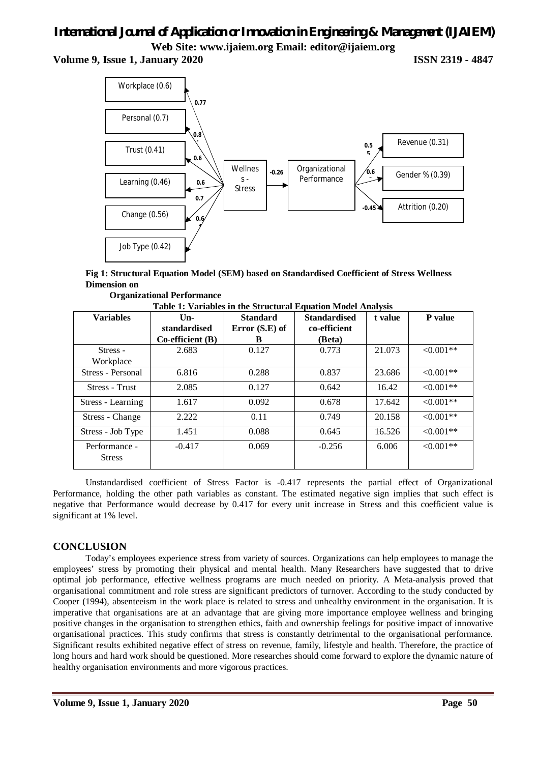# *International Journal of Application or Innovation in Engineering & Management (IJAIEM)* **Web Site: [www.ijaiem.org](http://www.ijaiem.org) Email: [editor@ijaiem.org](mailto:editor@ijaiem.org)**

**Volume 9, Issue 1, January 2020 ISSN 2319 - 4847**



**Fig 1: Structural Equation Model (SEM) based on Standardised Coefficient of Stress Wellness Dimension on** 

 **Organizational Performance**

| <b>Variables</b>               | $Un-$                     | <b>Standard</b>  | <b>Standardised</b> | t value | <b>P</b> value |
|--------------------------------|---------------------------|------------------|---------------------|---------|----------------|
|                                | standardised              | Error $(S.E)$ of | co-efficient        |         |                |
|                                | $Co\text{-efficient (B)}$ | B                | (Beta)              |         |                |
| Stress -                       | 2.683                     | 0.127            | 0.773               | 21.073  | $\leq 0.001**$ |
| Workplace                      |                           |                  |                     |         |                |
| Stress - Personal              | 6.816                     | 0.288            | 0.837               | 23.686  | $\leq 0.001**$ |
| <b>Stress - Trust</b>          | 2.085                     | 0.127            | 0.642               | 16.42   | $< 0.001**$    |
| Stress - Learning              | 1.617                     | 0.092            | 0.678               | 17.642  | $< 0.001**$    |
| Stress - Change                | 2.222                     | 0.11             | 0.749               | 20.158  | $< 0.001**$    |
| Stress - Job Type              | 1.451                     | 0.088            | 0.645               | 16.526  | $< 0.001**$    |
| Performance -<br><b>Stress</b> | $-0.417$                  | 0.069            | $-0.256$            | 6.006   | $< 0.001**$    |

**Table 1: Variables in the Structural Equation Model Analysis**

Unstandardised coefficient of Stress Factor is -0.417 represents the partial effect of Organizational Performance, holding the other path variables as constant. The estimated negative sign implies that such effect is negative that Performance would decrease by 0.417 for every unit increase in Stress and this coefficient value is significant at 1% level.

### **CONCLUSION**

Today's employees experience stress from variety of sources. Organizations can help employees to manage the employees' stress by promoting their physical and mental health. Many Researchers have suggested that to drive optimal job performance, effective wellness programs are much needed on priority. A Meta-analysis proved that organisational commitment and role stress are significant predictors of turnover. According to the study conducted by Cooper (1994), absenteeism in the work place is related to stress and unhealthy environment in the organisation. It is imperative that organisations are at an advantage that are giving more importance employee wellness and bringing positive changes in the organisation to strengthen ethics, faith and ownership feelings for positive impact of innovative organisational practices. This study confirms that stress is constantly detrimental to the organisational performance. Significant results exhibited negative effect of stress on revenue, family, lifestyle and health. Therefore, the practice of long hours and hard work should be questioned. More researches should come forward to explore the dynamic nature of healthy organisation environments and more vigorous practices.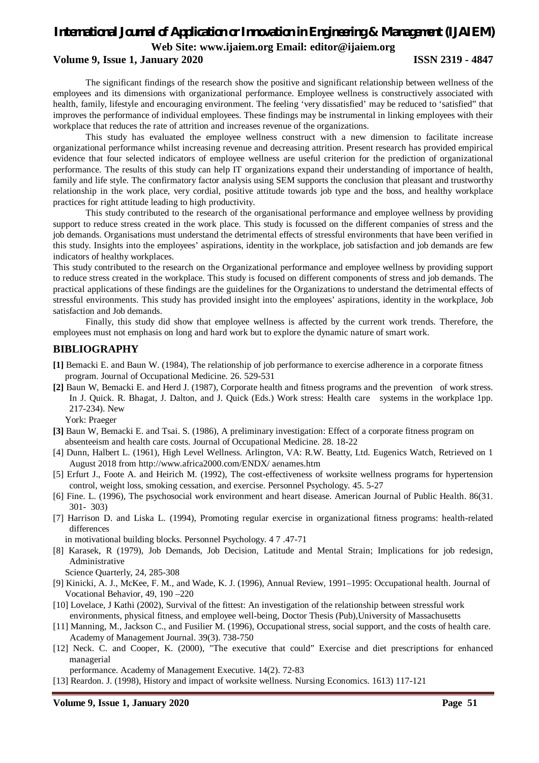**Web Site: [www.ijaiem.org](http://www.ijaiem.org) Email: [editor@ijaiem.org](mailto:editor@ijaiem.org)**

#### **Volume 9, Issue 1, January 2020 ISSN 2319 - 4847**

The significant findings of the research show the positive and significant relationship between wellness of the employees and its dimensions with organizational performance. Employee wellness is constructively associated with health, family, lifestyle and encouraging environment. The feeling 'very dissatisfied' may be reduced to 'satisfied" that improves the performance of individual employees. These findings may be instrumental in linking employees with their workplace that reduces the rate of attrition and increases revenue of the organizations.

This study has evaluated the employee wellness construct with a new dimension to facilitate increase organizational performance whilst increasing revenue and decreasing attrition. Present research has provided empirical evidence that four selected indicators of employee wellness are useful criterion for the prediction of organizational performance. The results of this study can help IT organizations expand their understanding of importance of health, family and life style. The confirmatory factor analysis using SEM supports the conclusion that pleasant and trustworthy relationship in the work place, very cordial, positive attitude towards job type and the boss, and healthy workplace practices for right attitude leading to high productivity.

This study contributed to the research of the organisational performance and employee wellness by providing support to reduce stress created in the work place. This study is focussed on the different companies of stress and the job demands. Organisations must understand the detrimental effects of stressful environments that have been verified in this study. Insights into the employees' aspirations, identity in the workplace, job satisfaction and job demands are few indicators of healthy workplaces.

This study contributed to the research on the Organizational performance and employee wellness by providing support to reduce stress created in the workplace. This study is focused on different components of stress and job demands. The practical applications of these findings are the guidelines for the Organizations to understand the detrimental effects of stressful environments. This study has provided insight into the employees' aspirations, identity in the workplace, Job satisfaction and Job demands.

Finally, this study did show that employee wellness is affected by the current work trends. Therefore, the employees must not emphasis on long and hard work but to explore the dynamic nature of smart work.

#### **BIBLIOGRAPHY**

- **[1]** Bemacki E. and Baun W. (1984), The relationship of job performance to exercise adherence in a corporate fitness program. Journal of Occupational Medicine. 26. 529-531
- **[2]** Baun W, Bemacki E. and Herd J. (1987), Corporate health and fitness programs and the prevention of work stress. In J. Quick. R. Bhagat, J. Dalton, and J. Quick (Eds.) Work stress: Health care systems in the workplace 1pp. 217-234). New

York: Praeger

- **[3]** Baun W, Bemacki E. and Tsai. S. (1986), A preliminary investigation: Effect of a corporate fitness program on absenteeism and health care costs. Journal of Occupational Medicine. 28. 18-22
- [4] Dunn, Halbert L. (1961), High Level Wellness. Arlington, VA: R.W. Beatty, Ltd. Eugenics Watch, Retrieved on 1 August 2018 from <http://www.africa2000.com/ENDX/>aenames.htm
- [5] Erfurt J., Foote A. and Heirich M. (1992), The cost-effectiveness of worksite wellness programs for hypertension control, weight loss, smoking cessation, and exercise. Personnel Psychology. 45. 5-27
- [6] Fine. L. (1996), The psychosocial work environment and heart disease. American Journal of Public Health. 86(31. 301- 303)
- [7] Harrison D. and Liska L. (1994), Promoting regular exercise in organizational fitness programs: health-related differences
- in motivational building blocks. Personnel Psychology. 4 7 .47-71
- [8] Karasek, R (1979), Job Demands, Job Decision, Latitude and Mental Strain; Implications for job redesign, Administrative
	- Science Quarterly, 24, 285-308
- [9] Kinicki, A. J., McKee, F. M., and Wade, K. J. (1996), Annual Review, 1991–1995: Occupational health. Journal of Vocational Behavior, 49, 190 –220
- [10] Lovelace, J Kathi (2002), Survival of the fittest: An investigation of the relationship between stressful work environments, physical fitness, and employee well-being, Doctor Thesis (Pub),University of Massachusetts
- [11] Manning, M., Jackson C., and Fusilier M. (1996), Occupational stress, social support, and the costs of health care. Academy of Management Journal. 39(3). 738-750
- [12] Neck. C. and Cooper, K. (2000), "The executive that could" Exercise and diet prescriptions for enhanced managerial
- performance. Academy of Management Executive. 14(2). 72-83
- [13] Reardon. J. (1998), History and impact of worksite wellness. Nursing Economics. 1613) 117-121